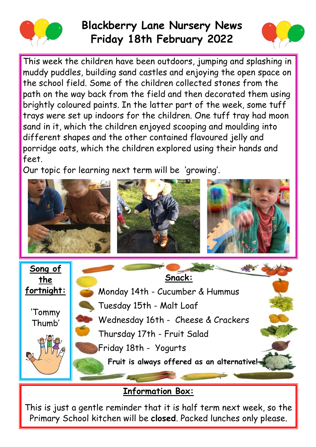

## **Blackberry Lane Nursery News Friday 18th February 2022**



This week the children have been outdoors, jumping and splashing in muddy puddles, building sand castles and enjoying the open space on the school field. Some of the children collected stones from the path on the way back from the field and then decorated them using brightly coloured paints. In the latter part of the week, some tuff trays were set up indoors for the children. One tuff tray had moon sand in it, which the children enjoyed scooping and moulding into different shapes and the other contained flavoured jelly and porridge oats, which the children explored using their hands and feet.

Our topic for learning next term will be 'growing'.



## **Information Box:**

This is just a gentle reminder that it is half term next week, so the Primary School kitchen will be **closed**. Packed lunches only please.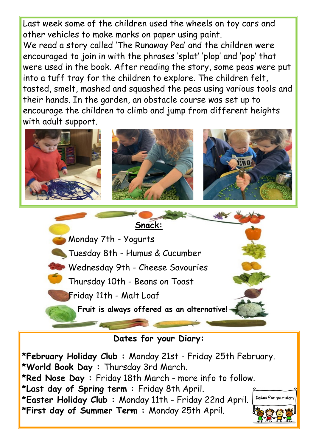Last week some of the children used the wheels on toy cars and other vehicles to make marks on paper using paint. We read a story called 'The Runaway Pea' and the children were encouraged to join in with the phrases 'splat' 'plop' and 'pop' that were used in the book. After reading the story, some peas were put into a tuff tray for the children to explore. The children felt, tasted, smelt, mashed and squashed the peas using various tools and their hands. In the garden, an obstacle course was set up to encourage the children to climb and jump from different heights with adult support.



**Snack:** Monday 7th - Yogurts Tuesday 8th - Humus & Cucumber Wednesday 9th - Cheese Savouries Thursday 10th - Beans on Toast Friday 11th - Malt Loaf **Fruit is always offered as an alternative!** 

## **Dates for your Diary:**

**\*February Holiday Club :** Monday 21st - Friday 25th February. **\*World Book Day :** Thursday 3rd March. **\*Red Nose Day :** Friday 18th March - more info to follow. **\*Last day of Spring term :** Friday 8th April. **\*Easter Holiday Club :** Monday 11th - Friday 22nd April. **\*First day of Summer Term :** Monday 25th April.